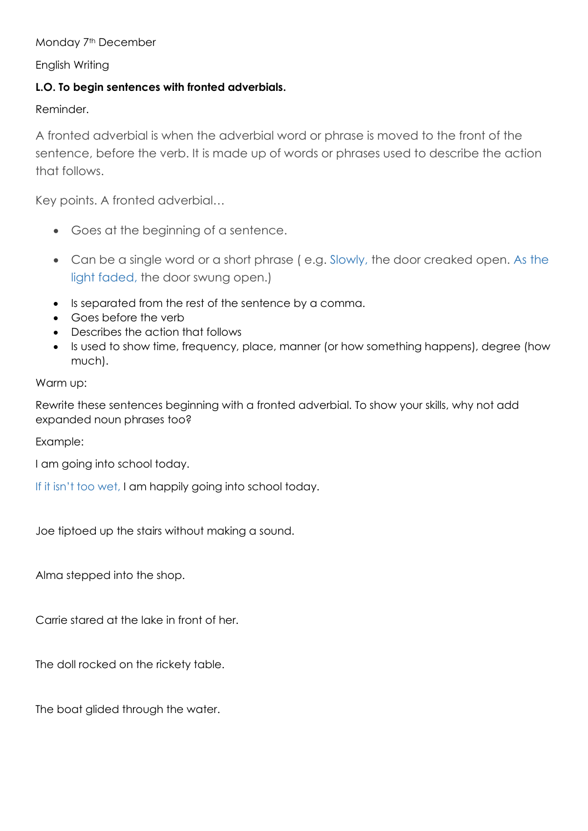## Monday 7<sup>th</sup> December

English Writing

# L.O. To begin sentences with fronted adverbials.

Reminder.

A fronted adverbial is when the adverbial word or phrase is moved to the front of the sentence, before the verb. It is made up of words or phrases used to describe the action that follows.

Key points. A fronted adverbial…

- Goes at the beginning of a sentence.
- Can be a single word or a short phrase ( e.g. Slowly, the door creaked open. As the light faded, the door swung open.)
- Is separated from the rest of the sentence by a comma.
- Goes before the verb
- Describes the action that follows
- Is used to show time, frequency, place, manner (or how something happens), degree (how much).

## Warm up:

Rewrite these sentences beginning with a fronted adverbial. To show your skills, why not add expanded noun phrases too?

Example:

I am going into school today.

If it isn't too wet, I am happily going into school today.

Joe tiptoed up the stairs without making a sound.

Alma stepped into the shop.

Carrie stared at the lake in front of her.

The doll rocked on the rickety table.

The boat glided through the water.